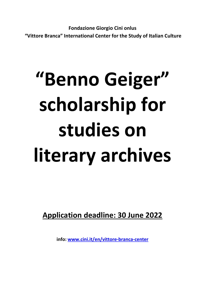Fondazione Giorgio Cini onlus "Vittore Branca" International Center for the Study of Italian Culture

# "Benno Geiger" scholarship for studies on literary archives

Application deadline: 30 June 2022

info: www.cini.it/en/vittore-branca-center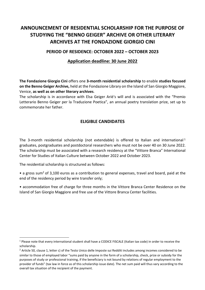# ANNOUNCEMENT OF RESIDENTIAL SCHOLARSHIP FOR THE PURPOSE OF STUDYING THE "BENNO GEIGER" ARCHIVE OR OTHER LITERARY ARCHIVES AT THE FONDAZIONE GIORGIO CINI

#### PERIOD OF RESIDENCE: OCTOBER 2022 – OCTOBER 2023

### Application deadline: 30 June 2022

The Fondazione Giorgio Cini offers one 3-month residential scholarship to enable studies focused on the Benno Geiger Archive, held at the Fondazione Library on the Island of San Giorgio Maggiore, Venice, as well as on other literary archives.

The scholarship is in accordance with Elsa Geiger Ariè's will and is associated with the "Premio Letterario Benno Geiger per la Traduzione Poetica", an annual poetry translation prize, set up to commemorate her father.

#### ELIGIBLE CANDIDATES

The 3-month residential scholarship (not extendable) is offered to Italian and international  $1$ graduates, postgraduates and postdoctoral researchers who must not be over 40 on 30 June 2022. The scholarship must be associated with a research residency at the "Vittore Branca" International Center for Studies of Italian Culture between October 2022 and October 2023.

The residential scholarship is structured as follows:

- a gross sum<sup>2</sup> of 3,100 euros as a contribution to general expenses, travel and board, paid at the end of the residency period by wire transfer only;
- accommodation free of charge for three months in the Vittore Branca Center Residence on the Island of San Giorgio Maggiore and free use of the Vittore Branca Center facilities.

<sup>&</sup>lt;sup>1</sup> Please note that every international student shall have a CODICE FISCALE (Italian tax code) in order to receive the scholarship.

<sup>&</sup>lt;sup>2</sup> Article 50, clause 1, letter c) of the Testo Unico delle Imposte sui Redditi includes among incomes considered to be similar to those of employed labor "sums paid by anyone in the form of a scholarship, check, prize or subsidy for the purposes of study or professional training, if the beneficiary is not bound by relations of regular employment to the provider of funds" (tax law in force as of this scholarship issue date). The net sum paid will thus vary according to the overall tax situation of the recipient of the payment.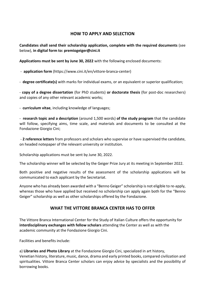#### HOW TO APPLY AND SELECTION

Candidates shall send their scholarship application, complete with the required documents (see below), in digital form to: premiogeiger@cini.it

Applications must be sent by June 30, 2022 with the following enclosed documents:

- application form (https://www.cini.it/en/vittore-branca-center)

- degree certificate(s) with marks for individual exams, or an equivalent or superior qualification;

- copy of a degree dissertation (for PhD students) or doctorate thesis (for post-doc researchers) and copies of any other relevant academic works;

- curriculum vitae, including knowledge of languages;

- research topic and a description (around 1,500 words) of the study program that the candidate will follow, specifying aims, time scale, and materials and documents to be consulted at the Fondazione Giorgio Cini;

- 2 reference letters from professors and scholars who supervise or have supervised the candidate, on headed notepaper of the relevant university or institution.

Scholarship applications must be sent by June 30, 2022.

The scholarship winner will be selected by the Geiger Prize Jury at its meeting in September 2022.

Both positive and negative results of the assessment of the scholarship applications will be communicated to each applicant by the Secretariat.

Anyone who has already been awarded with a "Benno Geiger" scholarship is not eligible to re-apply, whereas those who have applied but received no scholarship can apply again both for the "Benno" Geiger" scholarship as well as other scholarships offered by the Fondazione.

#### WHAT THE VITTORE BRANCA CENTER HAS TO OFFER

The Vittore Branca International Center for the Study of Italian Culture offers the opportunity for interdisciplinary exchanges with fellow scholars attending the Center as well as with the academic community at the Fondazione Giorgio Cini.

Facilities and benefits include:

a) Libraries and Photo Library at the Fondazione Giorgio Cini, specialized in art history, Venetian history, literature, music, dance, drama and early printed books, compared civilization and spiritualities. Vittore Branca Center scholars can enjoy advice by specialists and the possibility of borrowing books.